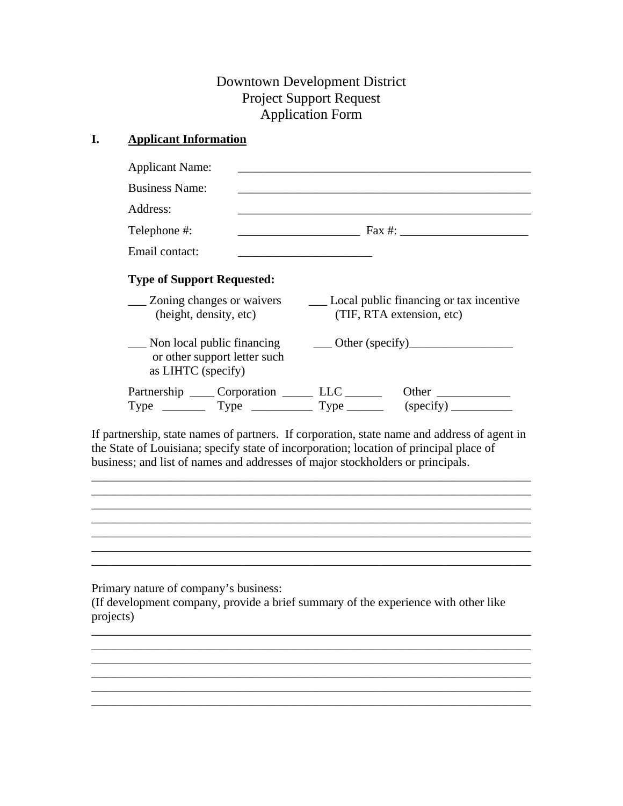# Downtown Development District Project Support Request Application Form

# **I. Applicant Information**

| <b>Business Name:</b>  |                                                     |                                                                                                              | and the control of the control of the control of the control of the control of the control of the control of the |  |
|------------------------|-----------------------------------------------------|--------------------------------------------------------------------------------------------------------------|------------------------------------------------------------------------------------------------------------------|--|
| Address:               |                                                     |                                                                                                              |                                                                                                                  |  |
| Telephone #:           |                                                     |                                                                                                              |                                                                                                                  |  |
| Email contact:         |                                                     |                                                                                                              |                                                                                                                  |  |
|                        | <b>Type of Support Requested:</b>                   |                                                                                                              |                                                                                                                  |  |
| (height, density, etc) |                                                     | ___ Zoning changes or waivers _________ Local public financing or tax incentive<br>(TIF, RTA extension, etc) |                                                                                                                  |  |
|                        |                                                     |                                                                                                              |                                                                                                                  |  |
| as LIHTC (specify)     | or other support letter such                        |                                                                                                              |                                                                                                                  |  |
|                        | Partnership ______ Corporation ________ LLC _______ |                                                                                                              | Non local public financing Cher (specify)<br>Other                                                               |  |

If partnership, state names of partners. If corporation, state name and address of agent in the State of Louisiana; specify state of incorporation; location of principal place of business; and list of names and addresses of major stockholders or principals.

\_\_\_\_\_\_\_\_\_\_\_\_\_\_\_\_\_\_\_\_\_\_\_\_\_\_\_\_\_\_\_\_\_\_\_\_\_\_\_\_\_\_\_\_\_\_\_\_\_\_\_\_\_\_\_\_\_\_\_\_\_\_\_\_\_\_\_\_\_\_\_\_

\_\_\_\_\_\_\_\_\_\_\_\_\_\_\_\_\_\_\_\_\_\_\_\_\_\_\_\_\_\_\_\_\_\_\_\_\_\_\_\_\_\_\_\_\_\_\_\_\_\_\_\_\_\_\_\_\_\_\_\_\_\_\_\_\_\_\_\_\_\_\_\_  $\overline{\phantom{a}}$  , and the contribution of the contribution of the contribution of the contribution of the contribution of the contribution of the contribution of the contribution of the contribution of the contribution of the \_\_\_\_\_\_\_\_\_\_\_\_\_\_\_\_\_\_\_\_\_\_\_\_\_\_\_\_\_\_\_\_\_\_\_\_\_\_\_\_\_\_\_\_\_\_\_\_\_\_\_\_\_\_\_\_\_\_\_\_\_\_\_\_\_\_\_\_\_\_\_\_

 $\mathcal{L}_\text{max}$  , and the set of the set of the set of the set of the set of the set of the set of the set of the set of the set of the set of the set of the set of the set of the set of the set of the set of the set of the

Primary nature of company's business:

(If development company, provide a brief summary of the experience with other like projects)

\_\_\_\_\_\_\_\_\_\_\_\_\_\_\_\_\_\_\_\_\_\_\_\_\_\_\_\_\_\_\_\_\_\_\_\_\_\_\_\_\_\_\_\_\_\_\_\_\_\_\_\_\_\_\_\_\_\_\_\_\_\_\_\_\_\_\_\_\_\_\_\_ \_\_\_\_\_\_\_\_\_\_\_\_\_\_\_\_\_\_\_\_\_\_\_\_\_\_\_\_\_\_\_\_\_\_\_\_\_\_\_\_\_\_\_\_\_\_\_\_\_\_\_\_\_\_\_\_\_\_\_\_\_\_\_\_\_\_\_\_\_\_\_\_ \_\_\_\_\_\_\_\_\_\_\_\_\_\_\_\_\_\_\_\_\_\_\_\_\_\_\_\_\_\_\_\_\_\_\_\_\_\_\_\_\_\_\_\_\_\_\_\_\_\_\_\_\_\_\_\_\_\_\_\_\_\_\_\_\_\_\_\_\_\_\_\_ \_\_\_\_\_\_\_\_\_\_\_\_\_\_\_\_\_\_\_\_\_\_\_\_\_\_\_\_\_\_\_\_\_\_\_\_\_\_\_\_\_\_\_\_\_\_\_\_\_\_\_\_\_\_\_\_\_\_\_\_\_\_\_\_\_\_\_\_\_\_\_\_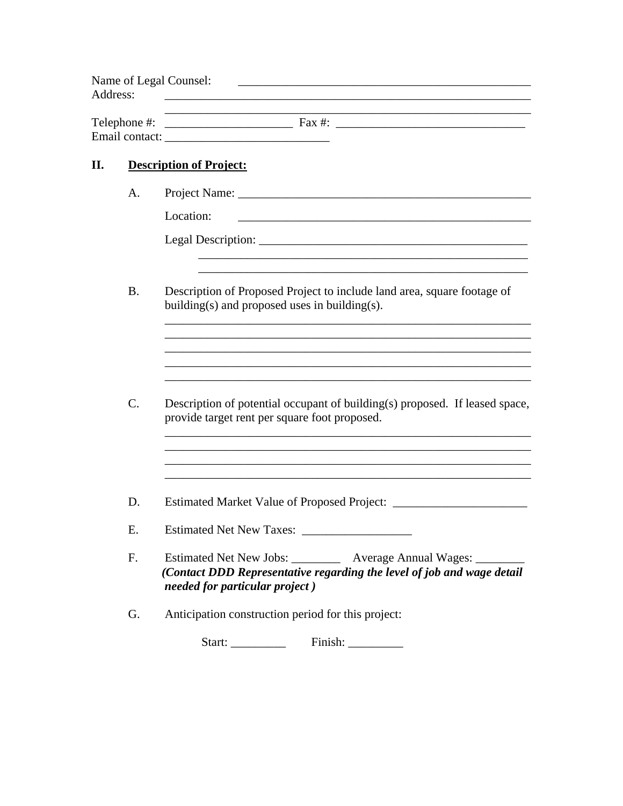| Address: |           | Name of Legal Counsel:                                                                                                                                                         |  |  |  |
|----------|-----------|--------------------------------------------------------------------------------------------------------------------------------------------------------------------------------|--|--|--|
|          |           |                                                                                                                                                                                |  |  |  |
| П.       |           | <b>Description of Project:</b>                                                                                                                                                 |  |  |  |
|          | A.        |                                                                                                                                                                                |  |  |  |
|          |           | Location:                                                                                                                                                                      |  |  |  |
|          |           |                                                                                                                                                                                |  |  |  |
|          | <b>B.</b> | Description of Proposed Project to include land area, square footage of<br>building(s) and proposed uses in building(s).                                                       |  |  |  |
|          |           | <u> 1989 - Johann Stoff, amerikansk politiker (* 1908)</u>                                                                                                                     |  |  |  |
|          | C.        | Description of potential occupant of building(s) proposed. If leased space,<br>provide target rent per square foot proposed.                                                   |  |  |  |
|          | D.        | Estimated Market Value of Proposed Project: _____                                                                                                                              |  |  |  |
|          | E.        | <b>Estimated Net New Taxes:</b>                                                                                                                                                |  |  |  |
|          | F.        | Estimated Net New Jobs: ________<br>Average Annual Wages: ________<br>(Contact DDD Representative regarding the level of job and wage detail<br>needed for particular project) |  |  |  |
|          | G.        | Anticipation construction period for this project:                                                                                                                             |  |  |  |
|          |           |                                                                                                                                                                                |  |  |  |
|          |           |                                                                                                                                                                                |  |  |  |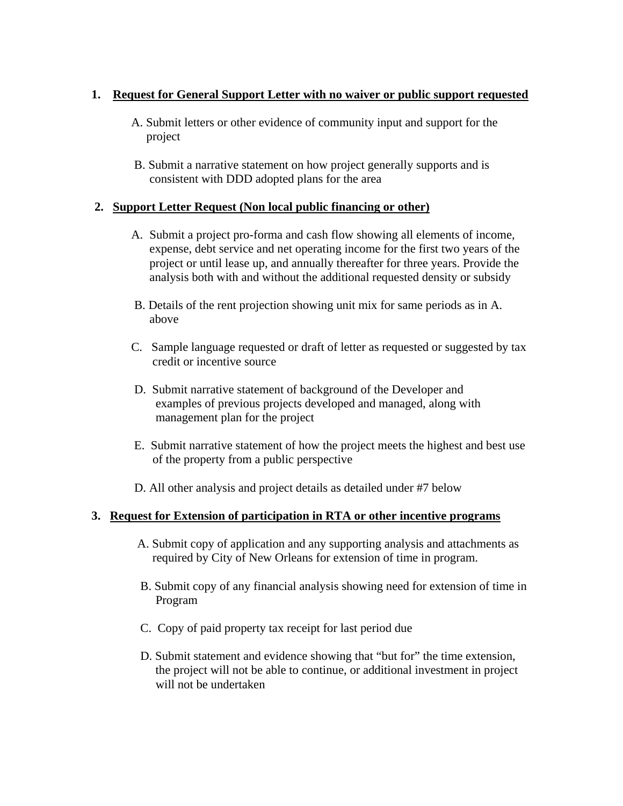# **1. Request for General Support Letter with no waiver or public support requested**

- A. Submit letters or other evidence of community input and support for the project
- B. Submit a narrative statement on how project generally supports and is consistent with DDD adopted plans for the area

### **2. Support Letter Request (Non local public financing or other)**

- A. Submit a project pro-forma and cash flow showing all elements of income, expense, debt service and net operating income for the first two years of the project or until lease up, and annually thereafter for three years. Provide the analysis both with and without the additional requested density or subsidy
- B. Details of the rent projection showing unit mix for same periods as in A. above
- C. Sample language requested or draft of letter as requested or suggested by tax credit or incentive source
- D. Submit narrative statement of background of the Developer and examples of previous projects developed and managed, along with management plan for the project
- E. Submit narrative statement of how the project meets the highest and best use of the property from a public perspective
- D. All other analysis and project details as detailed under #7 below

# **3. Request for Extension of participation in RTA or other incentive programs**

- A. Submit copy of application and any supporting analysis and attachments as required by City of New Orleans for extension of time in program.
- B. Submit copy of any financial analysis showing need for extension of time in Program
- C. Copy of paid property tax receipt for last period due
- D. Submit statement and evidence showing that "but for" the time extension, the project will not be able to continue, or additional investment in project will not be undertaken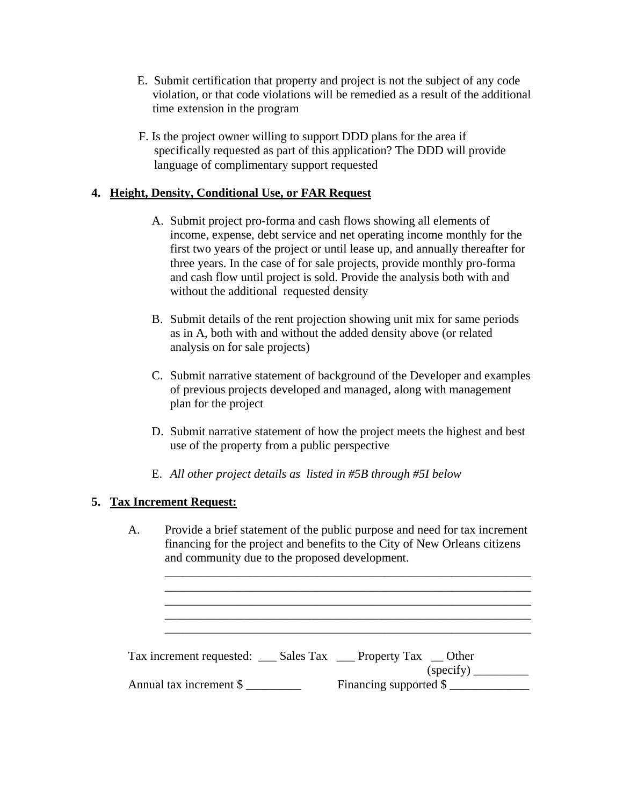- E. Submit certification that property and project is not the subject of any code violation, or that code violations will be remedied as a result of the additional time extension in the program
- F. Is the project owner willing to support DDD plans for the area if specifically requested as part of this application? The DDD will provide language of complimentary support requested

# **4. Height, Density, Conditional Use, or FAR Request**

- A. Submit project pro-forma and cash flows showing all elements of income, expense, debt service and net operating income monthly for the first two years of the project or until lease up, and annually thereafter for three years. In the case of for sale projects, provide monthly pro-forma and cash flow until project is sold. Provide the analysis both with and without the additional requested density
- B. Submit details of the rent projection showing unit mix for same periods as in A, both with and without the added density above (or related analysis on for sale projects)
- C. Submit narrative statement of background of the Developer and examples of previous projects developed and managed, along with management plan for the project
- D. Submit narrative statement of how the project meets the highest and best use of the property from a public perspective
- E. *All other project details as listed in #5B through #5I below*

# **5. Tax Increment Request:**

A. Provide a brief statement of the public purpose and need for tax increment financing for the project and benefits to the City of New Orleans citizens and community due to the proposed development.

 $\overline{\phantom{a}}$  ,  $\overline{\phantom{a}}$  ,  $\overline{\phantom{a}}$  ,  $\overline{\phantom{a}}$  ,  $\overline{\phantom{a}}$  ,  $\overline{\phantom{a}}$  ,  $\overline{\phantom{a}}$  ,  $\overline{\phantom{a}}$  ,  $\overline{\phantom{a}}$  ,  $\overline{\phantom{a}}$  ,  $\overline{\phantom{a}}$  ,  $\overline{\phantom{a}}$  ,  $\overline{\phantom{a}}$  ,  $\overline{\phantom{a}}$  ,  $\overline{\phantom{a}}$  ,  $\overline{\phantom{a}}$  $\overline{\phantom{a}}$  ,  $\overline{\phantom{a}}$  ,  $\overline{\phantom{a}}$  ,  $\overline{\phantom{a}}$  ,  $\overline{\phantom{a}}$  ,  $\overline{\phantom{a}}$  ,  $\overline{\phantom{a}}$  ,  $\overline{\phantom{a}}$  ,  $\overline{\phantom{a}}$  ,  $\overline{\phantom{a}}$  ,  $\overline{\phantom{a}}$  ,  $\overline{\phantom{a}}$  ,  $\overline{\phantom{a}}$  ,  $\overline{\phantom{a}}$  ,  $\overline{\phantom{a}}$  ,  $\overline{\phantom{a}}$  $\overline{\phantom{a}}$  ,  $\overline{\phantom{a}}$  ,  $\overline{\phantom{a}}$  ,  $\overline{\phantom{a}}$  ,  $\overline{\phantom{a}}$  ,  $\overline{\phantom{a}}$  ,  $\overline{\phantom{a}}$  ,  $\overline{\phantom{a}}$  ,  $\overline{\phantom{a}}$  ,  $\overline{\phantom{a}}$  ,  $\overline{\phantom{a}}$  ,  $\overline{\phantom{a}}$  ,  $\overline{\phantom{a}}$  ,  $\overline{\phantom{a}}$  ,  $\overline{\phantom{a}}$  ,  $\overline{\phantom{a}}$  $\overline{\phantom{a}}$  ,  $\overline{\phantom{a}}$  ,  $\overline{\phantom{a}}$  ,  $\overline{\phantom{a}}$  ,  $\overline{\phantom{a}}$  ,  $\overline{\phantom{a}}$  ,  $\overline{\phantom{a}}$  ,  $\overline{\phantom{a}}$  ,  $\overline{\phantom{a}}$  ,  $\overline{\phantom{a}}$  ,  $\overline{\phantom{a}}$  ,  $\overline{\phantom{a}}$  ,  $\overline{\phantom{a}}$  ,  $\overline{\phantom{a}}$  ,  $\overline{\phantom{a}}$  ,  $\overline{\phantom{a}}$ 

| Tax increment requested: _____ Sales Tax _____ Property Tax ____ Other |                        |
|------------------------------------------------------------------------|------------------------|
|                                                                        | (specify)              |
| Annual tax increment \$                                                | Financing supported \$ |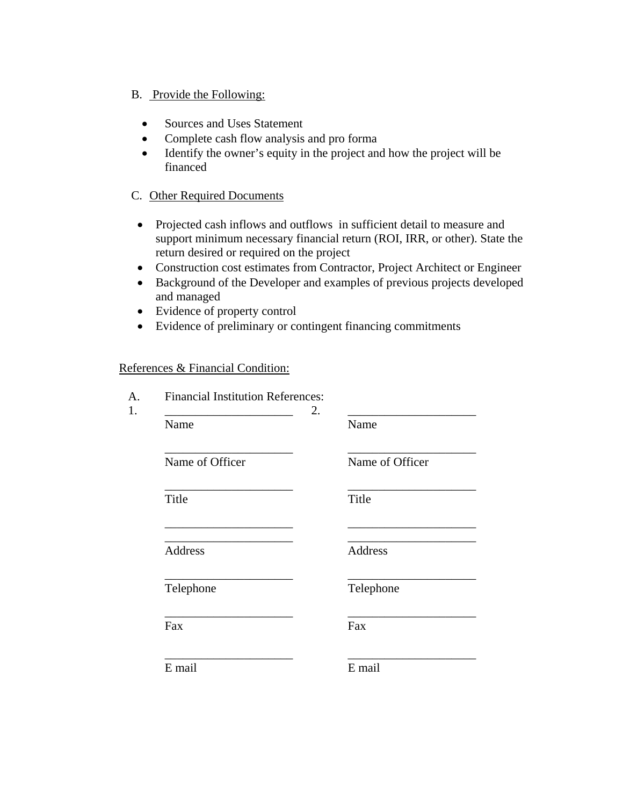### B. Provide the Following:

- Sources and Uses Statement
- Complete cash flow analysis and pro forma
- Identify the owner's equity in the project and how the project will be financed

# C. Other Required Documents

- Projected cash inflows and outflows in sufficient detail to measure and support minimum necessary financial return (ROI, IRR, or other). State the return desired or required on the project
- Construction cost estimates from Contractor, Project Architect or Engineer
- Background of the Developer and examples of previous projects developed and managed
- Evidence of property control
- Evidence of preliminary or contingent financing commitments

#### References & Financial Condition:

| A.<br>1. | <b>Financial Institution References:</b> | 2. |                 |
|----------|------------------------------------------|----|-----------------|
|          | Name                                     |    | Name            |
|          | Name of Officer                          |    | Name of Officer |
|          | Title                                    |    | Title           |
|          | Address                                  |    | Address         |
|          | Telephone                                |    | Telephone       |
|          | Fax                                      |    | Fax             |
|          | E mail                                   |    | E mail          |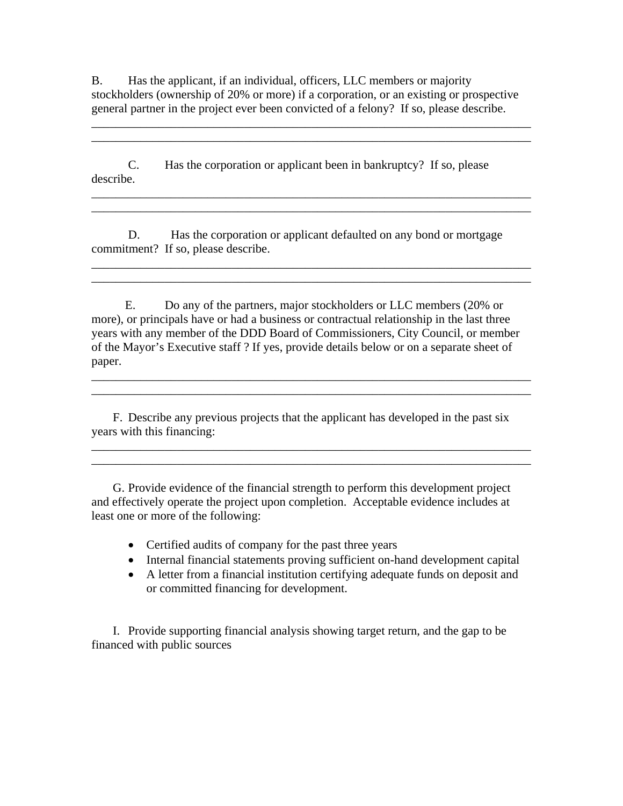B. Has the applicant, if an individual, officers, LLC members or majority stockholders (ownership of 20% or more) if a corporation, or an existing or prospective general partner in the project ever been convicted of a felony? If so, please describe.

\_\_\_\_\_\_\_\_\_\_\_\_\_\_\_\_\_\_\_\_\_\_\_\_\_\_\_\_\_\_\_\_\_\_\_\_\_\_\_\_\_\_\_\_\_\_\_\_\_\_\_\_\_\_\_\_\_\_\_\_\_\_\_\_\_\_\_\_\_\_\_\_ \_\_\_\_\_\_\_\_\_\_\_\_\_\_\_\_\_\_\_\_\_\_\_\_\_\_\_\_\_\_\_\_\_\_\_\_\_\_\_\_\_\_\_\_\_\_\_\_\_\_\_\_\_\_\_\_\_\_\_\_\_\_\_\_\_\_\_\_\_\_\_\_

\_\_\_\_\_\_\_\_\_\_\_\_\_\_\_\_\_\_\_\_\_\_\_\_\_\_\_\_\_\_\_\_\_\_\_\_\_\_\_\_\_\_\_\_\_\_\_\_\_\_\_\_\_\_\_\_\_\_\_\_\_\_\_\_\_\_\_\_\_\_\_\_ \_\_\_\_\_\_\_\_\_\_\_\_\_\_\_\_\_\_\_\_\_\_\_\_\_\_\_\_\_\_\_\_\_\_\_\_\_\_\_\_\_\_\_\_\_\_\_\_\_\_\_\_\_\_\_\_\_\_\_\_\_\_\_\_\_\_\_\_\_\_\_\_

\_\_\_\_\_\_\_\_\_\_\_\_\_\_\_\_\_\_\_\_\_\_\_\_\_\_\_\_\_\_\_\_\_\_\_\_\_\_\_\_\_\_\_\_\_\_\_\_\_\_\_\_\_\_\_\_\_\_\_\_\_\_\_\_\_\_\_\_\_\_\_\_ \_\_\_\_\_\_\_\_\_\_\_\_\_\_\_\_\_\_\_\_\_\_\_\_\_\_\_\_\_\_\_\_\_\_\_\_\_\_\_\_\_\_\_\_\_\_\_\_\_\_\_\_\_\_\_\_\_\_\_\_\_\_\_\_\_\_\_\_\_\_\_\_

 C. Has the corporation or applicant been in bankruptcy? If so, please describe.

D. Has the corporation or applicant defaulted on any bond or mortgage commitment? If so, please describe.

 E. Do any of the partners, major stockholders or LLC members (20% or more), or principals have or had a business or contractual relationship in the last three years with any member of the DDD Board of Commissioners, City Council, or member of the Mayor's Executive staff ? If yes, provide details below or on a separate sheet of paper.

\_\_\_\_\_\_\_\_\_\_\_\_\_\_\_\_\_\_\_\_\_\_\_\_\_\_\_\_\_\_\_\_\_\_\_\_\_\_\_\_\_\_\_\_\_\_\_\_\_\_\_\_\_\_\_\_\_\_\_\_\_\_\_\_\_\_\_\_\_\_\_\_ \_\_\_\_\_\_\_\_\_\_\_\_\_\_\_\_\_\_\_\_\_\_\_\_\_\_\_\_\_\_\_\_\_\_\_\_\_\_\_\_\_\_\_\_\_\_\_\_\_\_\_\_\_\_\_\_\_\_\_\_\_\_\_\_\_\_\_\_\_\_\_\_

\_\_\_\_\_\_\_\_\_\_\_\_\_\_\_\_\_\_\_\_\_\_\_\_\_\_\_\_\_\_\_\_\_\_\_\_\_\_\_\_\_\_\_\_\_\_\_\_\_\_\_\_\_\_\_\_\_\_\_\_\_\_\_\_\_\_\_\_\_\_\_\_ \_\_\_\_\_\_\_\_\_\_\_\_\_\_\_\_\_\_\_\_\_\_\_\_\_\_\_\_\_\_\_\_\_\_\_\_\_\_\_\_\_\_\_\_\_\_\_\_\_\_\_\_\_\_\_\_\_\_\_\_\_\_\_\_\_\_\_\_\_\_\_\_

 F. Describe any previous projects that the applicant has developed in the past six years with this financing:

 G. Provide evidence of the financial strength to perform this development project and effectively operate the project upon completion. Acceptable evidence includes at least one or more of the following:

- Certified audits of company for the past three years
- Internal financial statements proving sufficient on-hand development capital
- A letter from a financial institution certifying adequate funds on deposit and or committed financing for development.

 I. Provide supporting financial analysis showing target return, and the gap to be financed with public sources